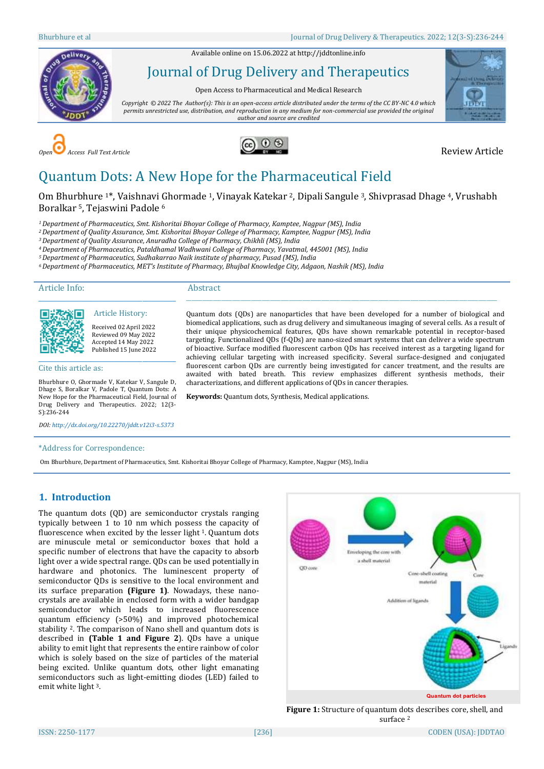Available online on 15.06.2022 a[t http://jddtonline.info](http://jddtonline.info/)



Journal of Drug Delivery and Therapeutics

Open Access to Pharmaceutical and Medical Research

*Copyright © 2022 The Author(s): This is an open-access article distributed under the terms of the CC BY-NC 4.0 which permits unrestricted use, distribution, and reproduction in any medium for non-commercial use provided the original author and source are credited*







# Quantum Dots: A New Hope for the Pharmaceutical Field

Om Bhurbhure 1\*, Vaishnavi Ghormade 1, Vinayak Katekar 2, Dipali Sangule 3, Shivprasad Dhage 4, Vrushabh Boralkar 5, Tejaswini Padole <sup>6</sup>

> \_\_\_\_\_\_\_\_\_\_\_\_\_\_\_\_\_\_\_\_\_\_\_\_\_\_\_\_\_\_\_\_\_\_\_\_\_\_\_\_\_\_\_\_\_\_\_\_\_\_\_\_\_\_\_\_\_\_\_\_\_\_\_\_\_\_\_\_\_\_\_\_\_\_\_\_\_\_\_\_\_\_\_\_\_\_\_\_\_\_\_\_\_\_\_\_\_\_\_\_\_\_\_\_\_\_\_\_\_\_\_\_\_\_\_ Quantum dots (QDs) are nanoparticles that have been developed for a number of biological and biomedical applications, such as drug delivery and simultaneous imaging of several cells. As a result of their unique physicochemical features, QDs have shown remarkable potential in receptor-based targeting. Functionalized QDs (f-QDs) are nano-sized smart systems that can deliver a wide spectrum of bioactive. Surface modified fluorescent carbon QDs has received interest as a targeting ligand for achieving cellular targeting with increased specificity. Several surface-designed and conjugated fluorescent carbon QDs are currently being investigated for cancer treatment, and the results are awaited with bated breath. This review emphasizes different synthesis methods, their

characterizations, and different applications of QDs in cancer therapies.

**Keywords:** Quantum dots, Synthesis, Medical applications.

*<sup>1</sup>Department of Pharmaceutics, Smt. Kishoritai Bhoyar College of Pharmacy, Kamptee, Nagpur (MS), India*

*<sup>2</sup>Department of Quality Assurance, Smt. Kishoritai Bhoyar College of Pharmacy, Kamptee, Nagpur (MS), India*

*<sup>3</sup>Department of Quality Assurance, Anuradha College of Pharmacy, Chikhli (MS), India*

*<sup>4</sup>Department of Pharmaceutics, Pataldhamal Wadhwani College of Pharmacy, Yavatmal, 445001 (MS), India*

*<sup>5</sup>Department of Pharmaceutics, Sudhakarrao Naik institute of pharmacy, Pusad (MS), India*

*<sup>6</sup>Department of Pharmaceutics, MET's Institute of Pharmacy, Bhujbal Knowledge City, Adgaon, Nashik (MS), India*

Article Info:

#### Abstract



Article History: Received 02 April 2022 Reviewed 09 May 2022 Accepted 14 May 2022 Published 15 June 2022

\_\_\_\_\_\_\_\_\_\_\_\_\_\_\_\_\_\_\_\_\_\_\_\_\_\_\_\_\_\_\_\_\_\_\_\_\_\_\_\_\_\_\_\_\_

Cite this article as:

Bhurbhure O, Ghormade V, Katekar V, Sangule D, Dhage S, Boralkar V, Padole T, Quantum Dots: A New Hope for the Pharmaceutical Field, Journal of Drug Delivery and Therapeutics. 2022; 12(3- S):236-244

*DOI[: http://dx.doi.org/10.22270/jddt.v12i3-s.5373](http://dx.doi.org/10.22270/jddt.v12i3-s.5373)* 

#### \*Address for Correspondence:

Om Bhurbhure, Department of Pharmaceutics, Smt. Kishoritai Bhoyar College of Pharmacy, Kamptee, Nagpur (MS), India

# **1. Introduction**

The quantum dots (QD) are semiconductor crystals ranging typically between 1 to 10 nm which possess the capacity of fluorescence when excited by the lesser light 1. Quantum dots are minuscule metal or semiconductor boxes that hold a specific number of electrons that have the capacity to absorb light over a wide spectral range. QDs can be used potentially in hardware and photonics. The luminescent property of semiconductor QDs is sensitive to the local environment and its surface preparation **(Figure 1)**. Nowadays, these nanocrystals are available in enclosed form with a wider bandgap semiconductor which leads to increased fluorescence quantum efficiency (>50%) and improved photochemical stability <sup>2</sup>. The comparison of Nano shell and quantum dots is described in **(Table 1 and Figure 2**). QDs have a unique ability to emit light that represents the entire rainbow of color which is solely based on the size of particles of the material being excited. Unlike quantum dots, other light emanating semiconductors such as light-emitting diodes (LED) failed to emit white light 3.



**Figure 1:** Structure of quantum dots describes core, shell, and surface<sup>2</sup>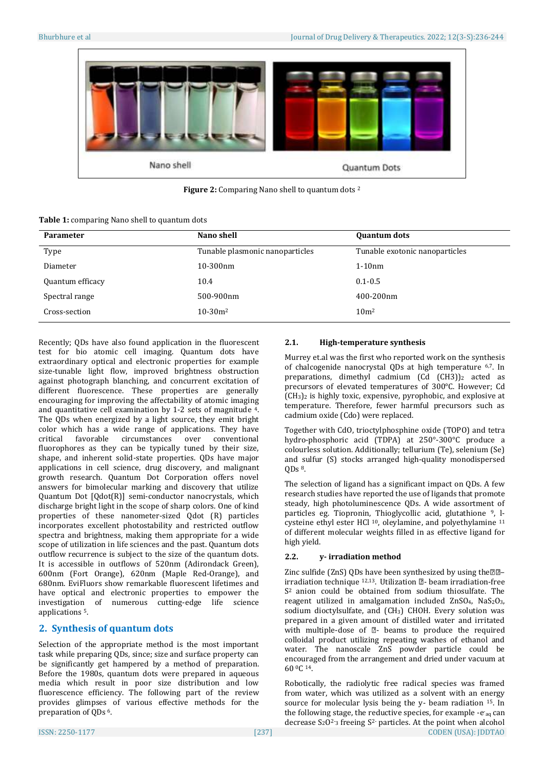

**Figure 2:** Comparing Nano shell to quantum dots <sup>2</sup>

|  |  |  | <b>Table 1: comparing Nano shell to quantum dots</b> |  |
|--|--|--|------------------------------------------------------|--|
|  |  |  |                                                      |  |

| <b>Parameter</b> | Nano shell                      | <b>Quantum dots</b>            |
|------------------|---------------------------------|--------------------------------|
| Type             | Tunable plasmonic nanoparticles | Tunable exotonic nanoparticles |
| Diameter         | $10-300$ nm                     | $1-10nm$                       |
| Quantum efficacy | 10.4                            | $0.1 - 0.5$                    |
| Spectral range   | 500-900nm                       | 400-200nm                      |
| Cross-section    | $10-30m^2$                      | 10 <sub>m²</sub>               |

Recently; QDs have also found application in the fluorescent test for bio atomic cell imaging. Quantum dots have extraordinary optical and electronic properties for example size-tunable light flow, improved brightness obstruction against photograph blanching, and concurrent excitation of different fluorescence. These properties are generally encouraging for improving the affectability of atomic imaging and quantitative cell examination by 1-2 sets of magnitude 4. The QDs when energized by a light source, they emit bright color which has a wide range of applications. They have critical favorable circumstances over conventional fluorophores as they can be typically tuned by their size, shape, and inherent solid-state properties. QDs have major applications in cell science, drug discovery, and malignant growth research. Quantum Dot Corporation offers novel answers for bimolecular marking and discovery that utilize Quantum Dot [Qdot(R)] semi-conductor nanocrystals, which discharge bright light in the scope of sharp colors. One of kind properties of these nanometer-sized Qdot (R) particles incorporates excellent photostability and restricted outflow spectra and brightness, making them appropriate for a wide scope of utilization in life sciences and the past. Quantum dots outflow recurrence is subject to the size of the quantum dots. It is accessible in outflows of 520nm (Adirondack Green), 600nm (Fort Orange), 620nm (Maple Red-Orange), and 680nm. EviFluors show remarkable fluorescent lifetimes and have optical and electronic properties to empower the investigation of numerous cutting-edge life science applications 5.

# **2. Synthesis of quantum dots**

Selection of the appropriate method is the most important task while preparing QDs, since; size and surface property can be significantly get hampered by a method of preparation. Before the 1980s, quantum dots were prepared in aqueous media which result in poor size distribution and low fluorescence efficiency. The following part of the review provides glimpses of various effective methods for the preparation of QDs <sup>6</sup>.

# **2.1. High-temperature synthesis**

Murrey et.al was the first who reported work on the synthesis of chalcogenide nanocrystal QDs at high temperature 6,7. In preparations, dimethyl cadmium  $(Cd (CH3))_2$  acted as precursors of elevated temperatures of 300°C. However; Cd (CH3)<sup>2</sup> is highly toxic, expensive, pyrophobic, and explosive at temperature. Therefore, fewer harmful precursors such as cadmium oxide (Cdo) were replaced.

Together with CdO, trioctylphosphine oxide (TOPO) and tetra hydro-phosphoric acid (TDPA) at 250°-300°C produce a colourless solution. Additionally; tellurium (Te), selenium (Se) and sulfur (S) stocks arranged high-quality monodispersed  $ODs<sup>8</sup>$ .

The selection of ligand has a significant impact on QDs. A few research studies have reported the use of ligands that promote steady, high photoluminescence QDs. A wide assortment of particles eg. Tiopronin, Thioglycollic acid, glutathione 9, lcysteine ethyl ester HCl 10, oleylamine, and polyethylamine <sup>11</sup> of different molecular weights filled in as effective ligand for high yield.

# **2.2. y- irradiation method**

Zinc sulfide (ZnS) QDs have been synthesized by using the  $@P$ irradiation technique  $12,13$ . Utilization  $\mathbb{Z}$ - beam irradiation-free S2 anion could be obtained from sodium thiosulfate. The reagent utilized in amalgamation included ZnSO4, NaS2O3, sodium dioctylsulfate, and (CH3) CHOH. Every solution was prepared in a given amount of distilled water and irritated with multiple-dose of  $\mathbb{Z}$ - beams to produce the required colloidal product utilizing repeating washes of ethanol and water. The nanoscale ZnS powder particle could be encouraged from the arrangement and dried under vacuum at 60 0C <sup>14</sup>.

ISSN: 2250-1177 [237] CODEN (USA): JDDTAO Robotically, the radiolytic free radical species was framed from water, which was utilized as a solvent with an energy source for molecular lysis being the y- beam radiation <sup>15</sup>. In the following stage, the reductive species, for example -e-aq can decrease  $S_2O^2$ -3 freeing  $S^2$ - particles. At the point when alcohol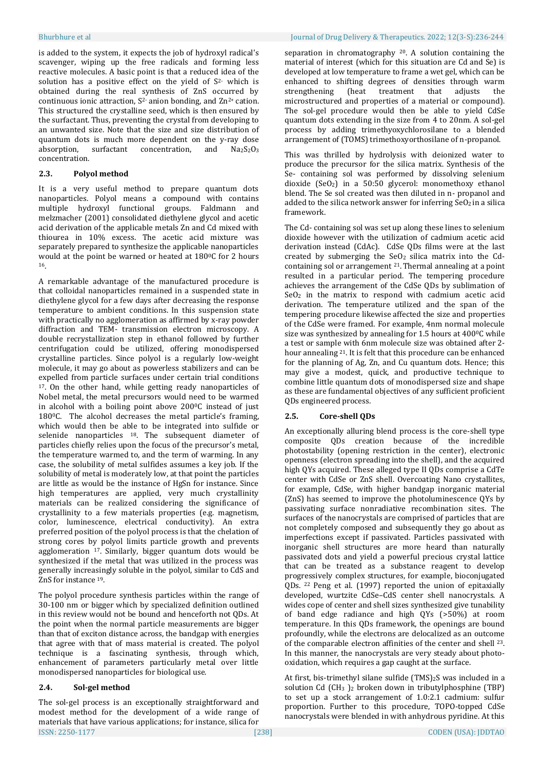is added to the system, it expects the job of hydroxyl radical's scavenger, wiping up the free radicals and forming less reactive molecules. A basic point is that a reduced idea of the solution has a positive effect on the yield of  $S<sup>2</sup>$  which is obtained during the real synthesis of ZnS occurred by continuous ionic attraction,  $S^2$  anion bonding, and  $Zn^{2+}$  cation. This structured the crystalline seed, which is then ensured by the surfactant. Thus, preventing the crystal from developing to an unwanted size. Note that the size and size distribution of quantum dots is much more dependent on the y-ray dose absorption, surfactant concentration, and  $Na<sub>2</sub>S<sub>2</sub>O<sub>3</sub>$ concentration.

# **2.3. Polyol method**

It is a very useful method to prepare quantum dots nanoparticles. Polyol means a compound with contains multiple hydroxyl functional groups. Faldmann and melzmacher (2001) consolidated diethylene glycol and acetic acid derivation of the applicable metals Zn and Cd mixed with thiourea in 10% excess. The acetic acid mixture was separately prepared to synthesize the applicable nanoparticles would at the point be warned or heated at 180°C for 2 hours 16.

A remarkable advantage of the manufactured procedure is that colloidal nanoparticles remained in a suspended state in diethylene glycol for a few days after decreasing the response temperature to ambient conditions. In this suspension state with practically no agglomeration as affirmed by x-ray powder diffraction and TEM- transmission electron microscopy. A double recrystallization step in ethanol followed by further centrifugation could be utilized, offering monodispersed crystalline particles. Since polyol is a regularly low-weight molecule, it may go about as powerless stabilizers and can be expelled from particle surfaces under certain trial conditions <sup>17</sup>. On the other hand, while getting ready nanoparticles of Nobel metal, the metal precursors would need to be warmed in alcohol with a boiling point above 200°C instead of just 1800C. The alcohol decreases the metal particle's framing, which would then be able to be integrated into sulfide or selenide nanoparticles 18. The subsequent diameter of particles chiefly relies upon the focus of the precursor's metal, the temperature warmed to, and the term of warming. In any case, the solubility of metal sulfides assumes a key job. If the solubility of metal is moderately low, at that point the particles are little as would be the instance of HgSn for instance. Since high temperatures are applied, very much crystallinity materials can be realized considering the significance of crystallinity to a few materials properties (e.g. magnetism, color, luminescence, electrical conductivity). An extra preferred position of the polyol process is that the chelation of strong cores by polyol limits particle growth and prevents agglomeration 17. Similarly, bigger quantum dots would be synthesized if the metal that was utilized in the process was generally increasingly soluble in the polyol, similar to CdS and ZnS for instance 19.

The polyol procedure synthesis particles within the range of 30-100 nm or bigger which by specialized definition outlined in this review would not be bound and henceforth not QDs. At the point when the normal particle measurements are bigger than that of exciton distance across, the bandgap with energies that agree with that of mass material is created. The polyol technique is a fascinating synthesis, through which, enhancement of parameters particularly metal over little monodispersed nanoparticles for biological use.

# **2.4. Sol-gel method**

ISSN: 2250-1177 [238] CODEN (USA): JDDTAO The sol-gel process is an exceptionally straightforward and modest method for the development of a wide range of materials that have various applications; for instance, silica for

#### Bhurbhure et al Journal of Drug Delivery & Therapeutics. 2022; 12(3-S):236-244

separation in chromatography 20. A solution containing the material of interest (which for this situation are Cd and Se) is developed at low temperature to frame a wet gel, which can be enhanced to shifting degrees of densities through warm strengthening (heat treatment that adjusts the microstructured and properties of a material or compound). The sol-gel procedure would then be able to yield CdSe quantum dots extending in the size from 4 to 20nm. A sol-gel process by adding trimethyoxychlorosilane to a blended arrangement of (TOMS) trimethoxyorthosilane of n-propanol.

This was thrilled by hydrolysis with deionized water to produce the precursor for the silica matrix. Synthesis of the Se- containing sol was performed by dissolving selenium dioxide (SeO2) in a 50:50 glycerol: monomethoxy ethanol blend. The Se sol created was then diluted in n- propanol and added to the silica network answer for inferring  $SeO<sub>2</sub>$  in a silica framework.

The Cd- containing sol was set up along these lines to selenium dioxide however with the utilization of cadmium acetic acid derivation instead (CdAc). CdSe QDs films were at the last created by submerging the  $SeO<sub>2</sub>$  silica matrix into the Cdcontaining sol or arrangement 21. Thermal annealing at a point resulted in a particular period. The tempering procedure achieves the arrangement of the CdSe QDs by sublimation of SeO<sup>2</sup> in the matrix to respond with cadmium acetic acid derivation. The temperature utilized and the span of the tempering procedure likewise affected the size and properties of the CdSe were framed. For example, 4nm normal molecule size was synthesized by annealing for 1.5 hours at 400°C while a test or sample with 6nm molecule size was obtained after 2 hour annealing <sup>21</sup>. It is felt that this procedure can be enhanced for the planning of Ag, Zn, and Cu quantum dots. Hence; this may give a modest, quick, and productive technique to combine little quantum dots of monodispersed size and shape as these are fundamental objectives of any sufficient proficient QDs engineered process.

# **2.5. Core-shell QDs**

An exceptionally alluring blend process is the core-shell type composite QDs creation because of the incredible photostability (opening restriction in the center), electronic openness (electron spreading into the shell), and the acquired high QYs acquired. These alleged type II QDs comprise a CdTe center with CdSe or ZnS shell. Overcoating Nano crystallites, for example, CdSe, with higher bandgap inorganic material (ZnS) has seemed to improve the photoluminescence QYs by passivating surface nonradiative recombination sites. The surfaces of the nanocrystals are comprised of particles that are not completely composed and subsequently they go about as imperfections except if passivated. Particles passivated with inorganic shell structures are more heard than naturally passivated dots and yield a powerful precious crystal lattice that can be treated as a substance reagent to develop progressively complex structures, for example, bioconjugated QDs. <sup>22</sup> Peng et al. (1997) reported the union of epitaxially developed, wurtzite CdSe–CdS center shell nanocrystals. A wides cope of center and shell sizes synthesized give tunability of band edge radiance and high QYs (>50%) at room temperature. In this QDs framework, the openings are bound profoundly, while the electrons are delocalized as an outcome of the comparable electron affinities of the center and shell 23. In this manner, the nanocrystals are very steady about photooxidation, which requires a gap caught at the surface.

At first, bis-trimethyl silane sulfide (TMS)2S was included in a solution Cd (CH<sup>3</sup> )<sup>2</sup> broken down in tributylphosphine (TBP) to set up a stock arrangement of 1.0:2.1 cadmium: sulfur proportion. Further to this procedure, TOPO-topped CdSe nanocrystals were blended in with anhydrous pyridine. At this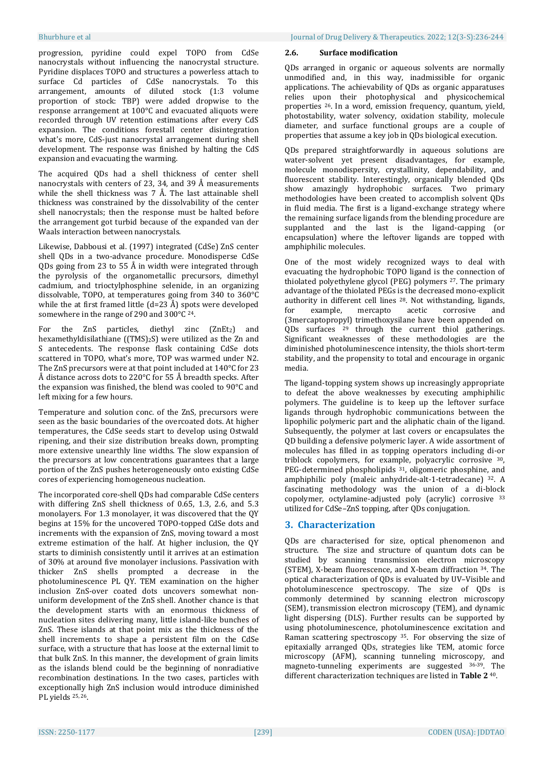progression, pyridine could expel TOPO from CdSe nanocrystals without influencing the nanocrystal structure. Pyridine displaces TOPO and structures a powerless attach to surface Cd particles of CdSe nanocrystals. To this arrangement, amounts of diluted stock (1:3 volume proportion of stock: TBP) were added dropwise to the response arrangement at 100°C and evacuated aliquots were recorded through UV retention estimations after every CdS expansion. The conditions forestall center disintegration what's more, CdS-just nanocrystal arrangement during shell development. The response was finished by halting the CdS expansion and evacuating the warming.

The acquired QDs had a shell thickness of center shell nanocrystals with centers of 23, 34, and 39 Å measurements while the shell thickness was 7 Å. The last attainable shell thickness was constrained by the dissolvability of the center shell nanocrystals; then the response must be halted before the arrangement got turbid because of the expanded van der Waals interaction between nanocrystals.

Likewise, Dabbousi et al. (1997) integrated (CdSe) ZnS center shell QDs in a two-advance procedure. Monodisperse CdSe QDs going from 23 to 55 Å in width were integrated through the pyrolysis of the organometallic precursors, dimethyl cadmium, and trioctylphosphine selenide, in an organizing dissolvable, TOPO, at temperatures going from 340 to 360°C while the at first framed little  $(d=23 \text{ Å})$  spots were developed somewhere in the range of 290 and 300°C <sup>24</sup>.

For the ZnS particles, diethyl zinc  $(ZnEt<sub>2</sub>)$  and hexamethyldisilathiane ((TMS)2S) were utilized as the Zn and S antecedents. The response flask containing CdSe dots scattered in TOPO, what's more, TOP was warmed under N2. The ZnS precursors were at that point included at 140°C for 23 Å distance across dots to 220°C for 55 Å breadth specks. After the expansion was finished, the blend was cooled to 90°C and left mixing for a few hours.

Temperature and solution conc. of the ZnS, precursors were seen as the basic boundaries of the overcoated dots. At higher temperatures, the CdSe seeds start to develop using Ostwald ripening, and their size distribution breaks down, prompting more extensive unearthly line widths. The slow expansion of the precursors at low concentrations guarantees that a large portion of the ZnS pushes heterogeneously onto existing CdSe cores of experiencing homogeneous nucleation.

The incorporated core-shell QDs had comparable CdSe centers with differing ZnS shell thickness of 0.65, 1.3, 2.6, and 5.3 monolayers. For 1.3 monolayer, it was discovered that the QY begins at 15% for the uncovered TOPO-topped CdSe dots and increments with the expansion of ZnS, moving toward a most extreme estimation of the half. At higher inclusion, the QY starts to diminish consistently until it arrives at an estimation of 30% at around five monolayer inclusions. Passivation with thicker ZnS shells prompted a decrease in the photoluminescence PL QY. TEM examination on the higher inclusion ZnS-over coated dots uncovers somewhat nonuniform development of the ZnS shell. Another chance is that the development starts with an enormous thickness of nucleation sites delivering many, little island-like bunches of ZnS. These islands at that point mix as the thickness of the shell increments to shape a persistent film on the CdSe surface, with a structure that has loose at the external limit to that bulk ZnS. In this manner, the development of grain limits as the islands blend could be the beginning of nonradiative recombination destinations. In the two cases, particles with exceptionally high ZnS inclusion would introduce diminished PL yields 25, 26.

#### **2.6. Surface modification**

QDs arranged in organic or aqueous solvents are normally unmodified and, in this way, inadmissible for organic applications. The achievability of QDs as organic apparatuses relies upon their photophysical and physicochemical properties <sup>26</sup>. In a word, emission frequency, quantum, yield, photostability, water solvency, oxidation stability, molecule diameter, and surface functional groups are a couple of properties that assume a key job in QDs biological execution.

QDs prepared straightforwardly in aqueous solutions are water-solvent yet present disadvantages, for example, molecule monodispersity, crystallinity, dependability, and fluorescent stability. Interestingly, organically blended QDs show amazingly hydrophobic surfaces. Two primary methodologies have been created to accomplish solvent QDs in fluid media. The first is a ligand-exchange strategy where the remaining surface ligands from the blending procedure are supplanted and the last is the ligand-capping (or encapsulation) where the leftover ligands are topped with amphiphilic molecules.

One of the most widely recognized ways to deal with evacuating the hydrophobic TOPO ligand is the connection of thiolated polyethylene glycol (PEG) polymers <sup>27</sup>. The primary advantage of the thiolated PEGs is the decreased mono-explicit authority in different cell lines <sup>28</sup>. Not withstanding, ligands, for example, mercapto acetic corrosive and (3mercaptopropyl) trimethoxysilane have been appended on QDs surfaces <sup>29</sup> through the current thiol gatherings. Significant weaknesses of these methodologies are the diminished photoluminescence intensity, the thiols short-term stability, and the propensity to total and encourage in organic media.

The ligand-topping system shows up increasingly appropriate to defeat the above weaknesses by executing amphiphilic polymers. The guideline is to keep up the leftover surface ligands through hydrophobic communications between the lipophilic polymeric part and the aliphatic chain of the ligand. Subsequently, the polymer at last covers or encapsulates the QD building a defensive polymeric layer. A wide assortment of molecules has filled in as topping operators including di-or triblock copolymers, for example, polyacrylic corrosive 30, PEG-determined phospholipids 31, oligomeric phosphine, and amphiphilic poly (maleic anhydride-alt-1-tetradecane) 32. A fascinating methodology was the union of a di-block copolymer, octylamine-adjusted poly (acrylic) corrosive <sup>33</sup> utilized for CdSe–ZnS topping, after QDs conjugation.

# **3. Characterization**

QDs are characterised for size, optical phenomenon and structure. The size and structure of quantum dots can be studied by scanning transmission electron microscopy (STEM), X-beam fluorescence, and X-beam diffraction <sup>34</sup>. The optical characterization of QDs is evaluated by UV–Visible and photoluminescence spectroscopy. The size of QDs is commonly determined by scanning electron microscopy (SEM), transmission electron microscopy (TEM), and dynamic light dispersing (DLS). Further results can be supported by using photoluminescence, photoluminescence excitation and Raman scattering spectroscopy 35. For observing the size of epitaxially arranged QDs, strategies like TEM, atomic force microscopy (AFM), scanning tunneling microscopy, and magneto-tunneling experiments are suggested 36-39. The different characterization techniques are listed in **Table 2** <sup>40</sup>.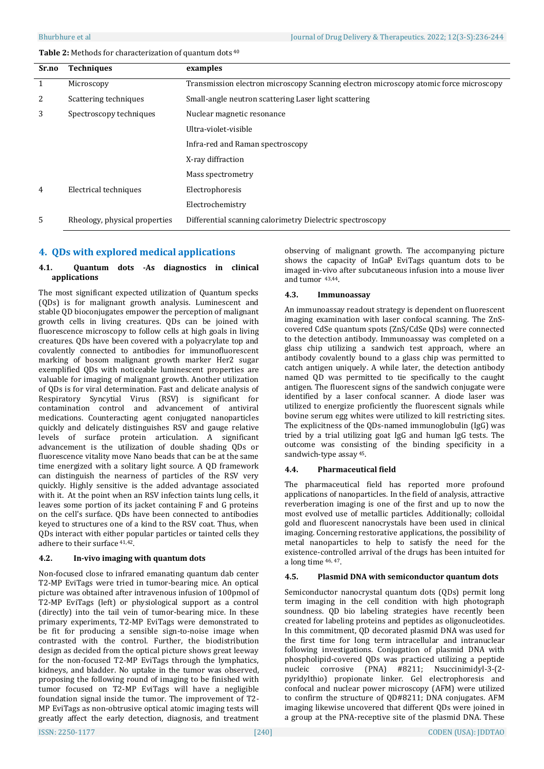#### **Table 2:** Methods for characterization of quantum dots <sup>40</sup>

| Sr.no | <b>Techniques</b>             | examples                                                                              |  |
|-------|-------------------------------|---------------------------------------------------------------------------------------|--|
| 1     | Microscopy                    | Transmission electron microscopy Scanning electron microscopy atomic force microscopy |  |
| 2     | Scattering techniques         | Small-angle neutron scattering Laser light scattering                                 |  |
| 3     | Spectroscopy techniques       | Nuclear magnetic resonance                                                            |  |
|       |                               | Ultra-violet-visible                                                                  |  |
|       |                               | Infra-red and Raman spectroscopy                                                      |  |
|       |                               | X-ray diffraction                                                                     |  |
|       |                               | Mass spectrometry                                                                     |  |
| 4     | Electrical techniques         | Electrophoresis                                                                       |  |
|       |                               | Electrochemistry                                                                      |  |
| 5     | Rheology, physical properties | Differential scanning calorimetry Dielectric spectroscopy                             |  |

# **4. QDs with explored medical applications**

#### **4.1. Quantum dots -As diagnostics in clinical applications**

The most significant expected utilization of Quantum specks (QDs) is for malignant growth analysis. Luminescent and stable QD bioconjugates empower the perception of malignant growth cells in living creatures. QDs can be joined with fluorescence microscopy to follow cells at high goals in living creatures. QDs have been covered with a polyacrylate top and covalently connected to antibodies for immunofluorescent marking of bosom malignant growth marker Her2 sugar exemplified QDs with noticeable luminescent properties are valuable for imaging of malignant growth. Another utilization of QDs is for viral determination. Fast and delicate analysis of Respiratory Syncytial Virus (RSV) is significant for contamination control and advancement of antiviral medications. Counteracting agent conjugated nanoparticles quickly and delicately distinguishes RSV and gauge relative levels of surface protein articulation. A significant advancement is the utilization of double shading QDs or fluorescence vitality move Nano beads that can be at the same time energized with a solitary light source. A QD framework can distinguish the nearness of particles of the RSV very quickly. Highly sensitive is the added advantage associated with it. At the point when an RSV infection taints lung cells, it leaves some portion of its jacket containing F and G proteins on the cell's surface. QDs have been connected to antibodies keyed to structures one of a kind to the RSV coat. Thus, when QDs interact with either popular particles or tainted cells they adhere to their surface 41,42.

# **4.2. In-vivo imaging with quantum dots**

Non-focused close to infrared emanating quantum dab center T2-MP EviTags were tried in tumor-bearing mice. An optical picture was obtained after intravenous infusion of 100pmol of T2-MP EviTags (left) or physiological support as a control (directly) into the tail vein of tumor-bearing mice. In these primary experiments, T2-MP EviTags were demonstrated to be fit for producing a sensible sign-to-noise image when contrasted with the control. Further, the biodistribution design as decided from the optical picture shows great leeway for the non-focused T2-MP EviTags through the lymphatics, kidneys, and bladder. No uptake in the tumor was observed, proposing the following round of imaging to be finished with tumor focused on T2-MP EviTags will have a negligible foundation signal inside the tumor. The improvement of T2- MP EviTags as non-obtrusive optical atomic imaging tests will greatly affect the early detection, diagnosis, and treatment

observing of malignant growth. The accompanying picture shows the capacity of InGaP EviTags quantum dots to be imaged in-vivo after subcutaneous infusion into a mouse liver and tumor 43,44.

# **4.3. Immunoassay**

An immunoassay readout strategy is dependent on fluorescent imaging examination with laser confocal scanning. The ZnScovered CdSe quantum spots (ZnS/CdSe QDs) were connected to the detection antibody. Immunoassay was completed on a glass chip utilizing a sandwich test approach, where an antibody covalently bound to a glass chip was permitted to catch antigen uniquely. A while later, the detection antibody named QD was permitted to tie specifically to the caught antigen. The fluorescent signs of the sandwich conjugate were identified by a laser confocal scanner. A diode laser was utilized to energize proficiently the fluorescent signals while bovine serum egg whites were utilized to kill restricting sites. The explicitness of the QDs-named immunoglobulin (IgG) was tried by a trial utilizing goat IgG and human IgG tests. The outcome was consisting of the binding specificity in a sandwich-type assay <sup>45</sup>.

# **4.4. Pharmaceutical field**

The pharmaceutical field has reported more profound applications of nanoparticles. In the field of analysis, attractive reverberation imaging is one of the first and up to now the most evolved use of metallic particles. Additionally; colloidal gold and fluorescent nanocrystals have been used in clinical imaging. Concerning restorative applications, the possibility of metal nanoparticles to help to satisfy the need for the existence-controlled arrival of the drugs has been intuited for a long time 46, 47.

#### **4.5. Plasmid DNA with semiconductor quantum dots**

Semiconductor nanocrystal quantum dots (QDs) permit long term imaging in the cell condition with high photograph soundness. QD bio labeling strategies have recently been created for labeling proteins and peptides as oligonucleotides. In this commitment, QD decorated plasmid DNA was used for the first time for long term intracellular and intranuclear following investigations. Conjugation of plasmid DNA with phospholipid-covered QDs was practiced utilizing a peptide nucleic corrosive (PNA) #8211; Nsuccinimidyl-3-(2 pyridylthio) propionate linker. Gel electrophoresis and confocal and nuclear power microscopy (AFM) were utilized to confirm the structure of QD#8211; DNA conjugates. AFM imaging likewise uncovered that different QDs were joined in a group at the PNA-receptive site of the plasmid DNA. These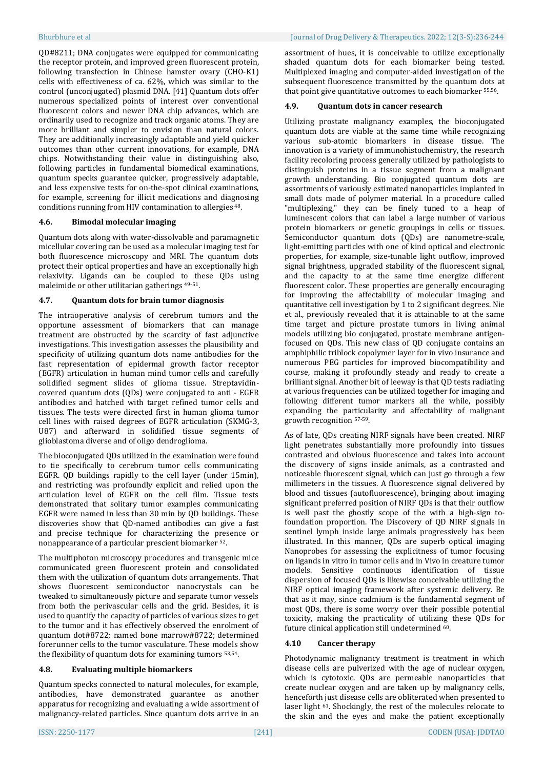QD#8211; DNA conjugates were equipped for communicating the receptor protein, and improved green fluorescent protein, following transfection in Chinese hamster ovary (CHO-K1) cells with effectiveness of ca. 62%, which was similar to the control (unconjugated) plasmid DNA. [41] Quantum dots offer numerous specialized points of interest over conventional fluorescent colors and newer DNA chip advances, which are ordinarily used to recognize and track organic atoms. They are more brilliant and simpler to envision than natural colors. They are additionally increasingly adaptable and yield quicker outcomes than other current innovations, for example, DNA chips. Notwithstanding their value in distinguishing also, following particles in fundamental biomedical examinations, quantum specks guarantee quicker, progressively adaptable, and less expensive tests for on-the-spot clinical examinations, for example, screening for illicit medications and diagnosing conditions running from HIV contamination to allergies <sup>48</sup>.

# **4.6. Bimodal molecular imaging**

Quantum dots along with water-dissolvable and paramagnetic micellular covering can be used as a molecular imaging test for both fluorescence microscopy and MRI. The quantum dots protect their optical properties and have an exceptionally high relaxivity. Ligands can be coupled to these QDs using maleimide or other utilitarian gatherings 49-51.

#### **4.7. Quantum dots for brain tumor diagnosis**

The intraoperative analysis of cerebrum tumors and the opportune assessment of biomarkers that can manage treatment are obstructed by the scarcity of fast adjunctive investigations. This investigation assesses the plausibility and specificity of utilizing quantum dots name antibodies for the fast representation of epidermal growth factor receptor (EGFR) articulation in human mind tumor cells and carefully solidified segment slides of glioma tissue. Streptavidincovered quantum dots (QDs) were conjugated to anti - EGFR antibodies and hatched with target refined tumor cells and tissues. The tests were directed first in human glioma tumor cell lines with raised degrees of EGFR articulation (SKMG-3, U87) and afterward in solidified tissue segments of glioblastoma diverse and of oligo dendroglioma.

The bioconjugated QDs utilized in the examination were found to tie specifically to cerebrum tumor cells communicating EGFR. QD buildings rapidly to the cell layer (under 15min), and restricting was profoundly explicit and relied upon the articulation level of EGFR on the cell film. Tissue tests demonstrated that solitary tumor examples communicating EGFR were named in less than 30 min by QD buildings. These discoveries show that QD-named antibodies can give a fast and precise technique for characterizing the presence or nonappearance of a particular prescient biomarker <sup>52</sup>.

The multiphoton microscopy procedures and transgenic mice communicated green fluorescent protein and consolidated them with the utilization of quantum dots arrangements. That shows fluorescent semiconductor nanocrystals can be tweaked to simultaneously picture and separate tumor vessels from both the perivascular cells and the grid. Besides, it is used to quantify the capacity of particles of various sizes to get to the tumor and it has effectively observed the enrolment of quantum dot#8722; named bone marrow#8722; determined forerunner cells to the tumor vasculature. These models show the flexibility of quantum dots for examining tumors 53,54.

#### **4.8. Evaluating multiple biomarkers**

Quantum specks connected to natural molecules, for example, antibodies, have demonstrated guarantee as another apparatus for recognizing and evaluating a wide assortment of malignancy-related particles. Since quantum dots arrive in an

assortment of hues, it is conceivable to utilize exceptionally shaded quantum dots for each biomarker being tested. Multiplexed imaging and computer-aided investigation of the subsequent fluorescence transmitted by the quantum dots at that point give quantitative outcomes to each biomarker 55,56.

#### **4.9. Quantum dots in cancer research**

Utilizing prostate malignancy examples, the bioconjugated quantum dots are viable at the same time while recognizing various sub-atomic biomarkers in disease tissue. The innovation is a variety of immunohistochemistry, the research facility recoloring process generally utilized by pathologists to distinguish proteins in a tissue segment from a malignant growth understanding. Bio conjugated quantum dots are assortments of variously estimated nanoparticles implanted in small dots made of polymer material. In a procedure called "multiplexing," they can be finely tuned to a heap of luminescent colors that can label a large number of various protein biomarkers or genetic groupings in cells or tissues. Semiconductor quantum dots (QDs) are nanometre-scale, light-emitting particles with one of kind optical and electronic properties, for example, size-tunable light outflow, improved signal brightness, upgraded stability of the fluorescent signal, and the capacity to at the same time energize different fluorescent color. These properties are generally encouraging for improving the affectability of molecular imaging and quantitative cell investigation by 1 to 2 significant degrees. Nie et al., previously revealed that it is attainable to at the same time target and picture prostate tumors in living animal models utilizing bio conjugated, prostate membrane antigenfocused on QDs. This new class of QD conjugate contains an amphiphilic triblock copolymer layer for in vivo insurance and numerous PEG particles for improved biocompatibility and course, making it profoundly steady and ready to create a brilliant signal. Another bit of leeway is that QD tests radiating at various frequencies can be utilized together for imaging and following different tumor markers all the while, possibly expanding the particularity and affectability of malignant growth recognition 57-59.

As of late, QDs creating NIRF signals have been created. NIRF light penetrates substantially more profoundly into tissues contrasted and obvious fluorescence and takes into account the discovery of signs inside animals, as a contrasted and noticeable fluorescent signal, which can just go through a few millimeters in the tissues. A fluorescence signal delivered by blood and tissues (autofluorescence), bringing about imaging significant preferred position of NIRF QDs is that their outflow is well past the ghostly scope of the with a high-sign tofoundation proportion. The Discovery of QD NIRF signals in sentinel lymph inside large animals progressively has been illustrated. In this manner, QDs are superb optical imaging Nanoprobes for assessing the explicitness of tumor focusing on ligands in vitro in tumor cells and in Vivo in creature tumor models. Sensitive continuous identification of tissue dispersion of focused QDs is likewise conceivable utilizing the NIRF optical imaging framework after systemic delivery. Be that as it may, since cadmium is the fundamental segment of most QDs, there is some worry over their possible potential toxicity, making the practicality of utilizing these QDs for future clinical application still undetermined <sup>60</sup>.

#### **4.10 Cancer therapy**

Photodynamic malignancy treatment is treatment in which disease cells are pulverized with the age of nuclear oxygen, which is cytotoxic. QDs are permeable nanoparticles that create nuclear oxygen and are taken up by malignancy cells, henceforth just disease cells are obliterated when presented to laser light 61. Shockingly, the rest of the molecules relocate to the skin and the eyes and make the patient exceptionally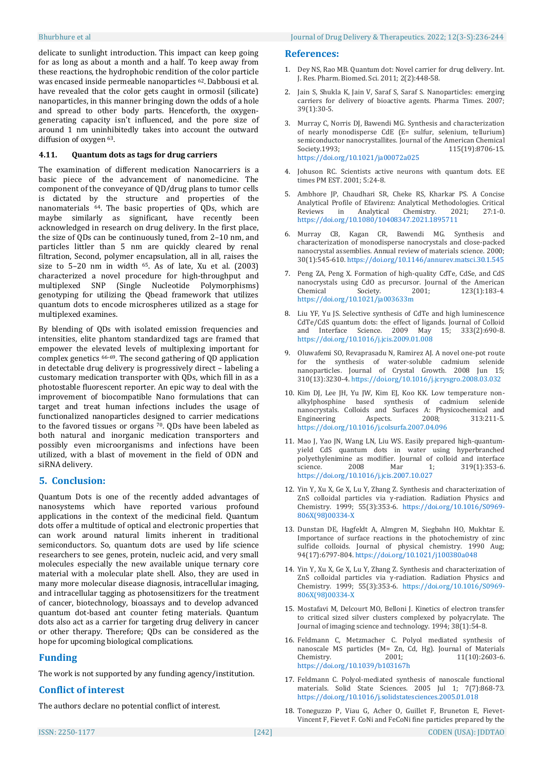delicate to sunlight introduction. This impact can keep going for as long as about a month and a half. To keep away from these reactions, the hydrophobic rendition of the color particle was encased inside permeable nanoparticles <sup>62</sup>. Dabbousi et al. have revealed that the color gets caught in ormosil (silicate) nanoparticles, in this manner bringing down the odds of a hole and spread to other body parts. Henceforth, the oxygengenerating capacity isn't influenced, and the pore size of around 1 nm uninhibitedly takes into account the outward diffusion of oxygen 63.

#### **4.11. Quantum dots as tags for drug carriers**

The examination of different medication Nanocarriers is a basic piece of the advancement of nanomedicine. The component of the conveyance of QD/drug plans to tumor cells is dictated by the structure and properties of the nanomaterials 64. The basic properties of QDs, which are maybe similarly as significant, have recently been acknowledged in research on drug delivery. In the first place, the size of QDs can be continuously tuned, from 2–10 nm, and particles littler than 5 nm are quickly cleared by renal filtration, Second, polymer encapsulation, all in all, raises the size to 5–20 nm in width <sup>65</sup>. As of late, Xu et al. (2003) characterized a novel procedure for high-throughput and multiplexed SNP (Single Nucleotide Polymorphisms) genotyping for utilizing the Qbead framework that utilizes quantum dots to encode microspheres utilized as a stage for multiplexed examines.

By blending of QDs with isolated emission frequencies and intensities, elite phantom standardized tags are framed that empower the elevated levels of multiplexing important for complex genetics 66-69. The second gathering of QD application in detectable drug delivery is progressively direct – labeling a customary medication transporter with QDs, which fill in as a photostable fluorescent reporter. An epic way to deal with the improvement of biocompatible Nano formulations that can target and treat human infections includes the usage of functionalized nanoparticles designed to carrier medications to the favored tissues or organs <sup>70</sup>. QDs have been labeled as both natural and inorganic medication transporters and possibly even microorganisms and infections have been utilized, with a blast of movement in the field of ODN and siRNA delivery.

# **5. Conclusion:**

Quantum Dots is one of the recently added advantages of nanosystems which have reported various profound applications in the context of the medicinal field. Quantum dots offer a multitude of optical and electronic properties that can work around natural limits inherent in traditional semiconductors. So, quantum dots are used by life science researchers to see genes, protein, nucleic acid, and very small molecules especially the new available unique ternary core material with a molecular plate shell. Also, they are used in many more molecular disease diagnosis, intracellular imaging, and intracellular tagging as photosensitizers for the treatment of cancer, biotechnology, bioassays and to develop advanced quantum dot-based ant counter feting materials. Quantum dots also act as a carrier for targeting drug delivery in cancer or other therapy. Therefore; QDs can be considered as the hope for upcoming biological complications.

# **Funding**

The work is not supported by any funding agency/institution.

#### **Conflict of interest**

The authors declare no potential conflict of interest.

#### **References:**

- 1. Dey NS, Rao MB. Quantum dot: Novel carrier for drug delivery. Int. J. Res. Pharm. Biomed. Sci. 2011; 2(2):448-58.
- Jain S, Shukla K, Jain V, Saraf S, Saraf S. Nanoparticles: emerging carriers for delivery of bioactive agents. Pharma Times. 2007; 39(1):30-5.
- 3. Murray C, Norris DJ, Bawendi MG. Synthesis and characterization of nearly monodisperse CdE (E= sulfur, selenium, tellurium) semiconductor nanocrystallites. Journal of the American Chemical Society.1993; 115(19):8706-15. <https://doi.org/10.1021/ja00072a025>
- 4. Johuson RC. Scientists active neurons with quantum dots. EE times PM EST. 2001; 5:24-8.
- 5. Ambhore JP, Chaudhari SR, Cheke RS, Kharkar PS. A Concise Analytical Profile of Efavirenz: Analytical Methodologies. Critical Reviews in Analytical Chemistry. 2021; 27:1-0. <https://doi.org/10.1080/10408347.2021.1895711>
- 6. Murray CB, Kagan CR, Bawendi MG. Synthesis and characterization of monodisperse nanocrystals and close-packed nanocrystal assemblies. Annual review of materials science. 2000; 30(1):545-610[. https://doi.org/10.1146/annurev.matsci.30.1.545](https://doi.org/10.1146/annurev.matsci.30.1.545)
- 7. Peng ZA, Peng X. Formation of high-quality CdTe, CdSe, and CdS nanocrystals using CdO as precursor. Journal of the American Chemical Society. 2001; 123(1):183-4. <https://doi.org/10.1021/ja003633m>
- 8. Liu YF, Yu JS. Selective synthesis of CdTe and high luminescence CdTe/CdS quantum dots: the effect of ligands. Journal of Colloid and Interface Science. 2009 May 15; 333(2):690-8. <https://doi.org/10.1016/j.jcis.2009.01.008>
- 9. Oluwafemi SO, Revaprasadu N, Ramirez AJ. A novel one-pot route for the synthesis of water-soluble cadmium selenide nanoparticles. Journal of Crystal Growth. 2008 Jun 15; 310(13):3230-4. <https://doi.org/10.1016/j.jcrysgro.2008.03.032>
- 10. Kim DJ, Lee JH, Yu JW, Kim EJ, Koo KK. Low temperature nonalkylphosphine based synthesis of cadmium selenide nanocrystals. Colloids and Surfaces A: Physicochemical and Engineering Aspects. 2008; 313:211-5. <https://doi.org/10.1016/j.colsurfa.2007.04.096>
- 11. Mao J, Yao JN, Wang LN, Liu WS. Easily prepared high-quantumyield CdS quantum dots in water using hyperbranched polyethylenimine as modifier. Journal of colloid and interface<br>science. 2008 Mar 1: 319(1):353-6. science. 2008 Mar 1; 319(1):353-6. <https://doi.org/10.1016/j.jcis.2007.10.027>
- 12. Yin Y, Xu X, Ge X, Lu Y, Zhang Z. Synthesis and characterization of ZnS colloidal particles via γ-radiation. Radiation Physics and Chemistry. 1999; 55(3):353-6. [https://doi.org/10.1016/S0969-](https://doi.org/10.1016/S0969-806X(98)00334-X) [806X\(98\)00334-X](https://doi.org/10.1016/S0969-806X(98)00334-X)
- 13. Dunstan DE, Hagfeldt A, Almgren M, Siegbahn HO, Mukhtar E. Importance of surface reactions in the photochemistry of zinc sulfide colloids. Journal of physical chemistry. 1990 Aug; 94(17):6797-804. <https://doi.org/10.1021/j100380a048>
- 14. Yin Y, Xu X, Ge X, Lu Y, Zhang Z. Synthesis and characterization of ZnS colloidal particles via γ-radiation. Radiation Physics and Chemistry. 1999; 55(3):353-6. [https://doi.org/10.1016/S0969-](https://doi.org/10.1016/S0969-806X(98)00334-X) [806X\(98\)00334-X](https://doi.org/10.1016/S0969-806X(98)00334-X)
- 15. Mostafavi M, Delcourt MO, Belloni J. Kinetics of electron transfer to critical sized silver clusters complexed by polyacrylate. The Journal of imaging science and technology. 1994; 38(1):54-8.
- 16. Feldmann C, Metzmacher C. Polyol mediated synthesis of nanoscale MS particles (M= Zn, Cd, Hg). Journal of Materials Chemistry. 2001: 11(10):2603-6. <https://doi.org/10.1039/b103167h>
- 17. Feldmann C. Polyol-mediated synthesis of nanoscale functional materials. Solid State Sciences. 2005 Jul 1; 7(7):868-73. <https://doi.org/10.1016/j.solidstatesciences.2005.01.018>
- 18. Toneguzzo P, Viau G, Acher O, Guillet F, Bruneton E, Fievet-Vincent F, Fievet F. CoNi and FeCoNi fine particles prepared by the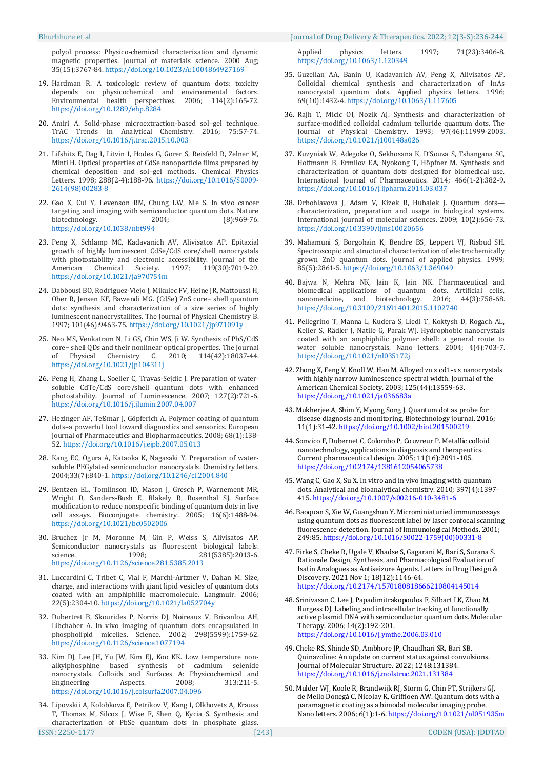polyol process: Physico-chemical characterization and dynamic magnetic properties. Journal of materials science. 2000 Aug; 35(15):3767-84. https://doi.org/10.1023/A:1004864927169

- 19. Hardman R. A toxicologic review of quantum dots: toxicity depends on physicochemical and environmental factors. Environmental health perspectives. 2006; 114(2):165-72. <https://doi.org/10.1289/ehp.8284>
- 20. Amiri A. Solid-phase microextraction-based sol–gel technique. TrAC Trends in Analytical Chemistry. 2016; 75:57-74. https://doi.org/10.1016/j.trac.2015.10.003
- 21. Lifshitz E, Dag I, Litvin I, Hodes G, Gorer S, Reisfeld R, Zelner M, Minti H. Optical properties of CdSe nanoparticle films prepared by chemical deposition and sol–gel methods. Chemical Physics Letters. 1998; 288(2-4):188-96. [https://doi.org/10.1016/S0009-](https://doi.org/10.1016/S0009-2614(98)00283-8) [2614\(98\)00283-8](https://doi.org/10.1016/S0009-2614(98)00283-8)
- 22. Gao X, Cui Y, Levenson RM, Chung LW, Nie S. In vivo cancer targeting and imaging with semiconductor quantum dots. Nature biotechnology. 2004; (8):969-76. <https://doi.org/10.1038/nbt994>
- 23. Peng X, Schlamp MC, Kadavanich AV, Alivisatos AP. Epitaxial growth of highly luminescent CdSe/CdS core/shell nanocrystals with photostability and electronic accessibility. Journal of the American Chemical Society. 1997; 119(30):7019-29. <https://doi.org/10.1021/ja970754m>
- 24. Dabbousi BO, Rodriguez-Viejo J, Mikulec FV, Heine JR, Mattoussi H, Ober R, Jensen KF, Bawendi MG. (CdSe) ZnS core− shell quantum dots: synthesis and characterization of a size series of highly luminescent nanocrystallites. The Journal of Physical Chemistry B. 1997; 101(46):9463-75. <https://doi.org/10.1021/jp971091y>
- 25. Neo MS, Venkatram N, Li GS, Chin WS, Ji W. Synthesis of PbS/CdS core− shell QDs and their nonlinear optical properties. The Journal of Physical Chemistry C. 2010; 114(42):18037-44. <https://doi.org/10.1021/jp104311j>
- 26. Peng H, Zhang L, Soeller C, Travas-Sejdic J. Preparation of watersoluble CdTe/CdS core/shell quantum dots with enhanced photostability. Journal of Luminescence. 2007; 127(2):721-6. <https://doi.org/10.1016/j.jlumin.2007.04.007>
- 27. Hezinger AF, Teßmar J, Göpferich A. Polymer coating of quantum dots–a powerful tool toward diagnostics and sensorics. European Journal of Pharmaceutics and Biopharmaceutics. 2008; 68(1):138- 52. <https://doi.org/10.1016/j.ejpb.2007.05.013>
- 28. Kang EC, Ogura A, Kataoka K, Nagasaki Y. Preparation of watersoluble PEGylated semiconductor nanocrystals. Chemistry letters. 2004;33(7):840-1. <https://doi.org/10.1246/cl.2004.840>
- 29. Bentzen EL, Tomlinson ID, Mason J, Gresch P, Warnement MR, Wright D, Sanders-Bush E, Blakely R, Rosenthal SJ. Surface modification to reduce nonspecific binding of quantum dots in live cell assays. Bioconjugate chemistry. 2005; 16(6):1488-94. <https://doi.org/10.1021/bc0502006>
- 30. Bruchez Jr M, Moronne M, Gin P, Weiss S, Alivisatos AP. Semiconductor nanocrystals as fluorescent biological labels. science. 1998; 281(5385):2013-6. <https://doi.org/10.1126/science.281.5385.2013>
- 31. Luccardini C, Tribet C, Vial F, Marchi-Artzner V, Dahan M. Size, charge, and interactions with giant lipid vesicles of quantum dots coated with an amphiphilic macromolecule. Langmuir. 2006; 22(5):2304-10. <https://doi.org/10.1021/la052704y>
- 32. Dubertret B, Skourides P, Norris DJ, Noireaux V, Brivanlou AH, Libchaber A. In vivo imaging of quantum dots encapsulated in phospholipid micelles. Science. 2002; 298(5599):1759-62. <https://doi.org/10.1126/science.1077194>
- 33. Kim DJ, Lee JH, Yu JW, Kim EJ, Koo KK. Low temperature nonalkylphosphine based synthesis of cadmium selenide nanocrystals. Colloids and Surfaces A: Physicochemical and Engineering Aspects. 2008; 313:211-5. Engineering Aspects. 2008; 313:211-5. <https://doi.org/10.1016/j.colsurfa.2007.04.096>
- ISSN: 2250-1177 [243] CODEN (USA): JDDTAO 34. Lipovskii A, Kolobkova E, Petrikov V, Kang I, Olkhovets A, Krauss T, Thomas M, Silcox J, Wise F, Shen Q, Kycia S. Synthesis and characterization of PbSe quantum dots in phosphate glass.

Applied physics letters. 1997; 71(23):3406-8. <https://doi.org/10.1063/1.120349>

- 35. Guzelian AA, Banin U, Kadavanich AV, Peng X, Alivisatos AP. Colloidal chemical synthesis and characterization of InAs nanocrystal quantum dots. Applied physics letters. 1996; 69(10):1432-4. <https://doi.org/10.1063/1.117605>
- 36. Rajh T, Micic OI, Nozik AJ. Synthesis and characterization of surface-modified colloidal cadmium telluride quantum dots. The Journal of Physical Chemistry. 1993; 97(46):11999-2003. <https://doi.org/10.1021/j100148a026>
- 37. Kuzyniak W, Adegoke O, Sekhosana K, D'Souza S, Tshangana SC, Hoffmann B, Ermilov EA, Nyokong T, Höpfner M. Synthesis and characterization of quantum dots designed for biomedical use. International Journal of Pharmaceutics. 2014; 466(1-2):382-9. <https://doi.org/10.1016/j.ijpharm.2014.03.037>
- 38. Drbohlavova J, Adam V, Kizek R, Hubalek J. Quantum dots characterization, preparation and usage in biological systems. International journal of molecular sciences. 2009; 10(2):656-73. <https://doi.org/10.3390/ijms10020656>
- 39. Mahamuni S, Borgohain K, Bendre BS, Leppert VJ, Risbud SH. Spectroscopic and structural characterization of electrochemically grown ZnO quantum dots. Journal of applied physics. 1999; 85(5):2861-5. <https://doi.org/10.1063/1.369049>
- 40. Bajwa N, Mehra NK, Jain K, Jain NK. Pharmaceutical and biomedical applications of quantum dots. Artificial cells, nanomedicine, and biotechnology. 2016; 44(3):758-68. <https://doi.org/10.3109/21691401.2015.1102740>
- 41. Pellegrino T, Manna L, Kudera S, Liedl T, Koktysh D, Rogach AL, Keller S, Rädler J, Natile G, Parak WJ. Hydrophobic nanocrystals coated with an amphiphilic polymer shell: a general route to water soluble nanocrystals. Nano letters. 2004; 4(4):703-7. <https://doi.org/10.1021/nl035172j>
- 42. Zhong X, Feng Y, Knoll W, Han M. Alloyed zn x cd1-x s nanocrystals with highly narrow luminescence spectral width. Journal of the American Chemical Society. 2003; 125(44):13559-63. <https://doi.org/10.1021/ja036683a>
- 43. Mukherjee A, Shim Y, Myong Song J. Quantum dot as probe for disease diagnosis and monitoring. Biotechnology journal. 2016; 11(1):31-42. <https://doi.org/10.1002/biot.201500219>
- 44. Sonvico F, Dubernet C, Colombo P, Couvreur P. Metallic colloid nanotechnology, applications in diagnosis and therapeutics. Current pharmaceutical design. 2005; 11(16):2091-105. <https://doi.org/10.2174/1381612054065738>
- 45. Wang C, Gao X, Su X. In vitro and in vivo imaging with quantum dots. Analytical and bioanalytical chemistry. 2010; 397(4):1397- 415. <https://doi.org/10.1007/s00216-010-3481-6>
- 46. Baoquan S, Xie W, Guangshun Y. Microminiaturied immunoassays using quantum dots as fluorescent label by laser confocal scanning fluorescence detection. Journal of Immunological Methods. 2001; 249:85. [https://doi.org/10.1016/S0022-1759\(00\)00331-8](https://doi.org/10.1016/S0022-1759(00)00331-8)
- 47. Firke S, Cheke R, Ugale V, Khadse S, Gagarani M, Bari S, Surana S. Rationale Design, Synthesis, and Pharmacological Evaluation of Isatin Analogues as Antiseizure Agents. Letters in Drug Design & Discovery. 2021 Nov 1; 18(12):1146-64. <https://doi.org/10.2174/1570180818666210804145014>
- 48. Srinivasan C, Lee J, Papadimitrakopoulos F, Silbart LK, Zhao M, Burgess DJ. Labeling and intracellular tracking of functionally active plasmid DNA with semiconductor quantum dots. Molecular Therapy. 2006; 14(2):192-201. <https://doi.org/10.1016/j.ymthe.2006.03.010>
- 49. Cheke RS, Shinde SD, Ambhore JP, Chaudhari SR, Bari SB. Quinazoline: An update on current status against convulsions. Journal of Molecular Structure. 2022; 1248:131384. <https://doi.org/10.1016/j.molstruc.2021.131384>
- 50. Mulder WJ, Koole R, Brandwijk RJ, Storm G, Chin PT, Strijkers GJ, de Mello Donegá C, Nicolay K, Griffioen AW. Quantum dots with a paramagnetic coating as a bimodal molecular imaging probe. Nano letters. 2006; 6(1):1-6. <https://doi.org/10.1021/nl051935m>